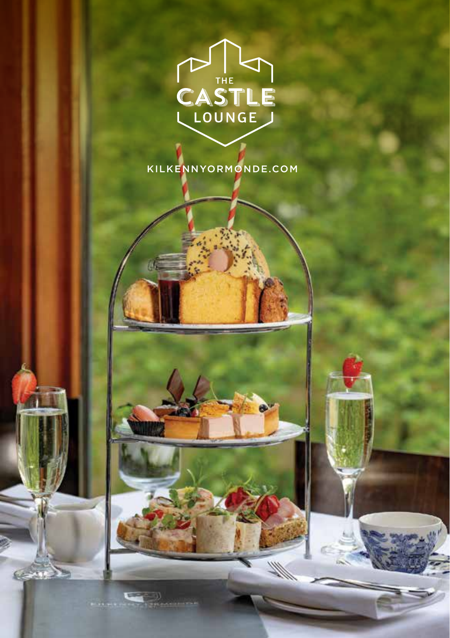

KILKENNYORMONDE.COM

 $\mathscr{W}$ 

**CENT**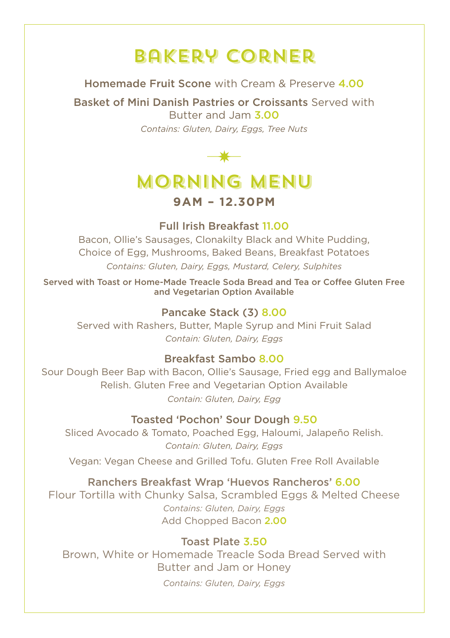## Bakery Corner

Homemade Fruit Scone with Cream & Preserve 4.00

Basket of Mini Danish Pastries or Croissants Served with Butter and Jam 3.00 *Contains: Gluten, Dairy, Eggs, Tree Nuts*



# Morning Menu

### **9AM – 12.30PM**

Full Irish Breakfast 11.00

Bacon, Ollie's Sausages, Clonakilty Black and White Pudding, Choice of Egg, Mushrooms, Baked Beans, Breakfast Potatoes *Contains: Gluten, Dairy, Eggs, Mustard, Celery, Sulphites*

Served with Toast or Home-Made Treacle Soda Bread and Tea or Coffee Gluten Free and Vegetarian Option Available

### Pancake Stack (3) 8.00

Served with Rashers, Butter, Maple Syrup and Mini Fruit Salad *Contain: Gluten, Dairy, Eggs*

### Breakfast Sambo 8.00

Sour Dough Beer Bap with Bacon, Ollie's Sausage, Fried egg and Ballymaloe Relish. Gluten Free and Vegetarian Option Available *Contain: Gluten, Dairy, Egg*

### Toasted 'Pochon' Sour Dough 9.50

Sliced Avocado & Tomato, Poached Egg, Haloumi, Jalapeño Relish. *Contain: Gluten, Dairy, Eggs*

Vegan: Vegan Cheese and Grilled Tofu. Gluten Free Roll Available

### Ranchers Breakfast Wrap 'Huevos Rancheros' 6.00

Flour Tortilla with Chunky Salsa, Scrambled Eggs & Melted Cheese *Contains: Gluten, Dairy, Eggs* Add Chopped Bacon 2.00

### Toast Plate 3.50

Brown, White or Homemade Treacle Soda Bread Served with Butter and Jam or Honey *Contains: Gluten, Dairy, Eggs*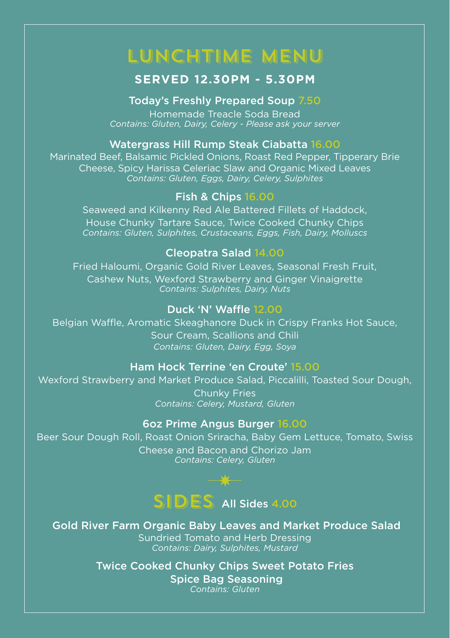## LunchTime Menu

### **SERVED 12.30PM - 5.30PM**

#### Today's Freshly Prepared Soup 7.50

Homemade Treacle Soda Bread *Contains: Gluten, Dairy, Celery - Please ask your server*

#### Watergrass Hill Rump Steak Ciabatta 16.00

Marinated Beef, Balsamic Pickled Onions, Roast Red Pepper, Tipperary Brie Cheese, Spicy Harissa Celeriac Slaw and Organic Mixed Leaves *Contains: Gluten, Eggs, Dairy, Celery, Sulphites*

#### Fish & Chips 16.00

Seaweed and Kilkenny Red Ale Battered Fillets of Haddock, House Chunky Tartare Sauce, Twice Cooked Chunky Chips *Contains: Gluten, Sulphites, Crustaceans, Eggs, Fish, Dairy, Molluscs*

#### Cleopatra Salad 14.00

Fried Haloumi, Organic Gold River Leaves, Seasonal Fresh Fruit, Cashew Nuts, Wexford Strawberry and Ginger Vinaigrette *Contains: Sulphites, Dairy, Nuts*

### Duck 'N' Waffle 12.00

Belgian Waffle, Aromatic Skeaghanore Duck in Crispy Franks Hot Sauce, Sour Cream, Scallions and Chili *Contains: Gluten, Dairy, Egg, Soya*

#### Ham Hock Terrine 'en Croute' 15.00

Wexford Strawberry and Market Produce Salad, Piccalilli, Toasted Sour Dough, Chunky Fries *Contains: Celery, Mustard, Gluten*

#### 6oz Prime Angus Burger 16.00

Beer Sour Dough Roll, Roast Onion Sriracha, Baby Gem Lettuce, Tomato, Swiss Cheese and Bacon and Chorizo Jam *Contains: Celery, Gluten*



 Gold River Farm Organic Baby Leaves and Market Produce Salad Sundried Tomato and Herb Dressing *Contains: Dairy, Sulphites, Mustard*

> Twice Cooked Chunky Chips Sweet Potato Fries Spice Bag Seasoning *Contains: Gluten*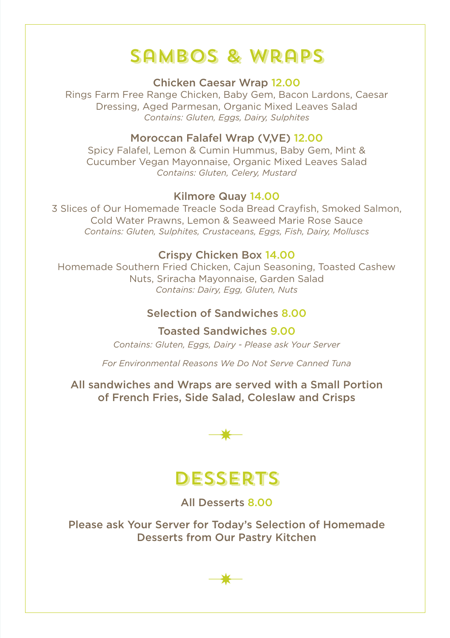## Sambos & Wraps

Chicken Caesar Wrap 12.00

Rings Farm Free Range Chicken, Baby Gem, Bacon Lardons, Caesar Dressing, Aged Parmesan, Organic Mixed Leaves Salad *Contains: Gluten, Eggs, Dairy, Sulphites*

### Moroccan Falafel Wrap (V,VE) 12.00

Spicy Falafel, Lemon & Cumin Hummus, Baby Gem, Mint & Cucumber Vegan Mayonnaise, Organic Mixed Leaves Salad *Contains: Gluten, Celery, Mustard*

### Kilmore Quay 14.00

3 Slices of Our Homemade Treacle Soda Bread Crayfish, Smoked Salmon, Cold Water Prawns, Lemon & Seaweed Marie Rose Sauce *Contains: Gluten, Sulphites, Crustaceans, Eggs, Fish, Dairy, Molluscs*

### Crispy Chicken Box 14.00

Homemade Southern Fried Chicken, Cajun Seasoning, Toasted Cashew Nuts, Sriracha Mayonnaise, Garden Salad *Contains: Dairy, Egg, Gluten, Nuts*

### Selection of Sandwiches 8.00

Toasted Sandwiches 9.00

*Contains: Gluten, Eggs, Dairy - Please ask Your Server*

*For Environmental Reasons We Do Not Serve Canned Tuna*

All sandwiches and Wraps are served with a Small Portion of French Fries, Side Salad, Coleslaw and Crisps



### **DESSERTS**

All Desserts 8.00

Please ask Your Server for Today's Selection of Homemade Desserts from Our Pastry Kitchen

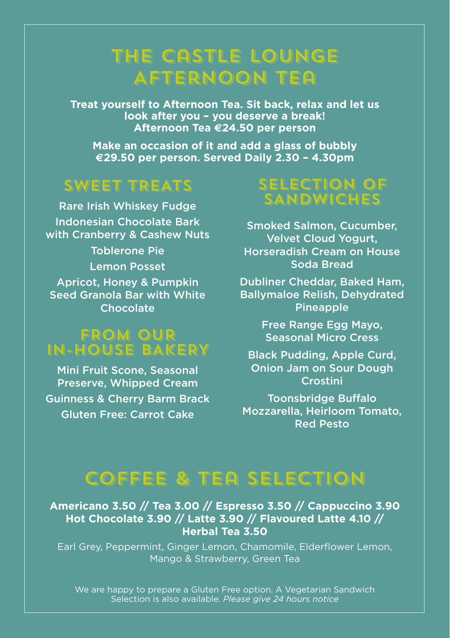## The Castle Lounge Afternoon Tea

**Treat yourself to Afternoon Tea. Sit back, relax and let us look after you – you deserve a break! Afternoon Tea e24.50 per person**

**Make an occasion of it and add a glass of bubbly e29.50 per person. Served Daily 2.30 – 4.30pm**

### SWEET TREATS

Rare Irish Whiskey Fudge Indonesian Chocolate Bark with Cranberry & Cashew Nuts Toblerone Pie Lemon Posset Apricot, Honey & Pumpkin Seed Granola Bar with White Chocolate

### FROM OUR IN-HOUSE BAKERY

Mini Fruit Scone, Seasonal Preserve, Whipped Cream Guinness & Cherry Barm Brack Gluten Free: Carrot Cake

### SELECTION OF **SANDWICHES**

Smoked Salmon, Cucumber, Velvet Cloud Yogurt, Horseradish Cream on House Soda Bread

Dubliner Cheddar, Baked Ham, Ballymaloe Relish, Dehydrated **Pineapple** 

> Free Range Egg Mayo, Seasonal Micro Cress

Black Pudding, Apple Curd, Onion Jam on Sour Dough Crostini

Toonsbridge Buffalo Mozzarella, Heirloom Tomato, Red Pesto

## Coffee & Tea Selection

**Americano 3.50 // Tea 3.00 // Espresso 3.50 // Cappuccino 3.90 Hot Chocolate 3.90 // Latte 3.90 // Flavoured Latte 4.10 // Herbal Tea 3.50**

Earl Grey, Peppermint, Ginger Lemon, Chamomile, Elderflower Lemon, Mango & Strawberry, Green Tea

We are happy to prepare a Gluten Free option. A Vegetarian Sandwich Selection is also available. *Please give 24 hours notice*